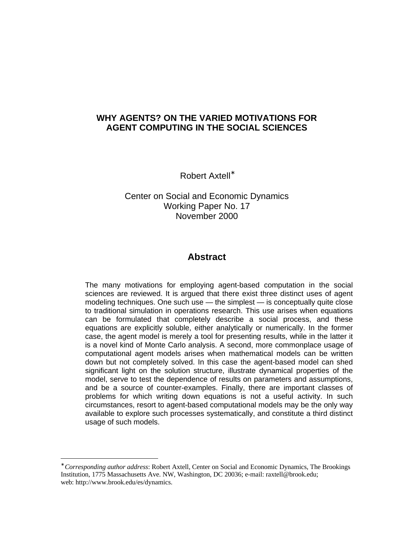# **WHY AGENTS? ON THE VARIED MOTIVATIONS FOR AGENT COMPUTING IN THE SOCIAL SCIENCES**

Robert Axtell<sup>∗</sup>

Center on Social and Economic Dynamics Working Paper No. 17 November 2000

# **Abstract**

The many motivations for employing agent-based computation in the social sciences are reviewed. It is argued that there exist three distinct uses of agent modeling techniques. One such use — the simplest — is conceptually quite close to traditional simulation in operations research. This use arises when equations can be formulated that completely describe a social process, and these equations are explicitly soluble, either analytically or numerically. In the former case, the agent model is merely a tool for presenting results, while in the latter it is a novel kind of Monte Carlo analysis. A second, more commonplace usage of computational agent models arises when mathematical models can be written down but not completely solved. In this case the agent-based model can shed significant light on the solution structure, illustrate dynamical properties of the model, serve to test the dependence of results on parameters and assumptions, and be a source of counter-examples. Finally, there are important classes of problems for which writing down equations is not a useful activity. In such circumstances, resort to agent-based computational models may be the only way available to explore such processes systematically, and constitute a third distinct usage of such models.

<sup>∗</sup> *Corresponding author address*: Robert Axtell, Center on Social and Economic Dynamics, The Brookings Institution, 1775 Massachusetts Ave. NW, Washington, DC 20036; e-mail: raxtell@brook.edu; web: http://www.brook.edu/es/dynamics.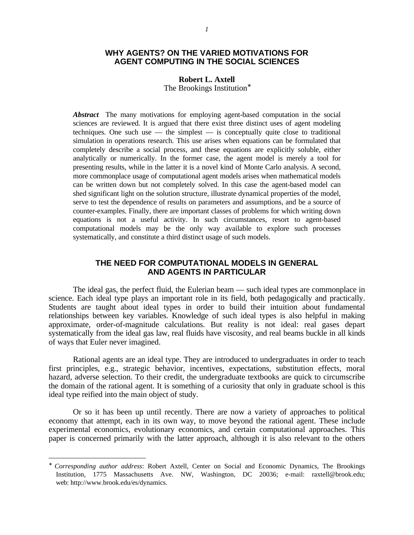## **WHY AGENTS? ON THE VARIED MOTIVATIONS FOR AGENT COMPUTING IN THE SOCIAL SCIENCES**

#### **Robert L. Axtell**

The Brookings Institution<sup>®</sup>

*Abstract*The many motivations for employing agent-based computation in the social sciences are reviewed. It is argued that there exist three distinct uses of agent modeling techniques. One such use  $-$  the simplest  $-$  is conceptually quite close to traditional simulation in operations research. This use arises when equations can be formulated that completely describe a social process, and these equations are explicitly soluble, either analytically or numerically. In the former case, the agent model is merely a tool for presenting results, while in the latter it is a novel kind of Monte Carlo analysis. A second, more commonplace usage of computational agent models arises when mathematical models can be written down but not completely solved. In this case the agent-based model can shed significant light on the solution structure, illustrate dynamical properties of the model, serve to test the dependence of results on parameters and assumptions, and be a source of counter-examples. Finally, there are important classes of problems for which writing down equations is not a useful activity. In such circumstances, resort to agent-based computational models may be the only way available to explore such processes systematically, and constitute a third distinct usage of such models.

### **THE NEED FOR COMPUTATIONAL MODELS IN GENERAL AND AGENTS IN PARTICULAR**

The ideal gas, the perfect fluid, the Eulerian beam — such ideal types are commonplace in science. Each ideal type plays an important role in its field, both pedagogically and practically. Students are taught about ideal types in order to build their intuition about fundamental relationships between key variables. Knowledge of such ideal types is also helpful in making approximate, order-of-magnitude calculations. But reality is not ideal: real gases depart systematically from the ideal gas law, real fluids have viscosity, and real beams buckle in all kinds of ways that Euler never imagined.

Rational agents are an ideal type. They are introduced to undergraduates in order to teach first principles, e.g., strategic behavior, incentives, expectations, substitution effects, moral hazard, adverse selection. To their credit, the undergraduate textbooks are quick to circumscribe the domain of the rational agent. It is something of a curiosity that only in graduate school is this ideal type reified into the main object of study.

Or so it has been up until recently. There are now a variety of approaches to political economy that attempt, each in its own way, to move beyond the rational agent. These include experimental economics, evolutionary economics, and certain computational approaches. This paper is concerned primarily with the latter approach, although it is also relevant to the others

<u>.</u>

<sup>∗</sup> *Corresponding author address*: Robert Axtell, Center on Social and Economic Dynamics, The Brookings Institution, 1775 Massachusetts Ave. NW, Washington, DC 20036; e-mail: raxtell@brook.edu; web: http://www.brook.edu/es/dynamics.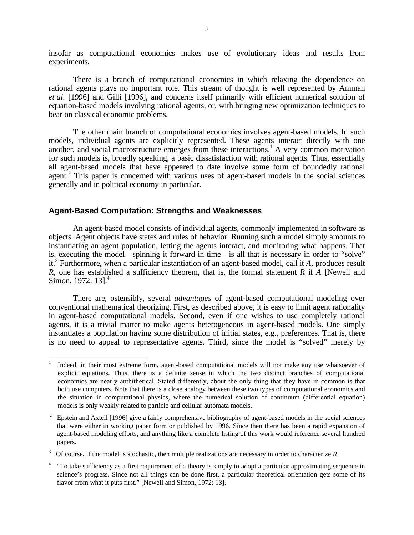insofar as computational economics makes use of evolutionary ideas and results from experiments.

There is a branch of computational economics in which relaxing the dependence on rational agents plays no important role. This stream of thought is well represented by Amman *et al.* [1996] and Gilli [1996], and concerns itself primarily with efficient numerical solution of equation-based models involving rational agents, or, with bringing new optimization techniques to bear on classical economic problems.

The other main branch of computational economics involves agent-based models. In such models, individual agents are explicitly represented. These agents interact directly with one another, and social macrostructure emerges from these interactions.<sup>1</sup> A very common motivation for such models is, broadly speaking, a basic dissatisfaction with rational agents. Thus, essentially all agent-based models that have appeared to date involve some form of boundedly rational agent.<sup>2</sup> This paper is concerned with various uses of agent-based models in the social sciences generally and in political economy in particular.

#### **Agent-Based Computation: Strengths and Weaknesses**

 $\overline{a}$ 

An agent-based model consists of individual agents, commonly implemented in software as objects. Agent objects have states and rules of behavior. Running such a model simply amounts to instantiating an agent population, letting the agents interact, and monitoring what happens. That is, executing the model—spinning it forward in time—is all that is necessary in order to "solve" it.3 Furthermore, when a particular instantiation of an agent-based model, call it *A*, produces result *R,* one has established a sufficiency theorem, that is, the formal statement *R* if *A* [Newell and Simon, 1972:  $13$ ].<sup>4</sup>

There are, ostensibly, several *advantages* of agent-based computational modeling over conventional mathematical theorizing. First, as described above, it is easy to limit agent rationality in agent-based computational models. Second, even if one wishes to use completely rational agents, it is a trivial matter to make agents heterogeneous in agent-based models. One simply instantiates a population having some distribution of initial states, e.g., preferences. That is, there is no need to appeal to representative agents. Third, since the model is "solved" merely by

<sup>1</sup> Indeed, in their most extreme form, agent-based computational models will not make any use whatsoever of explicit equations. Thus, there is a definite sense in which the two distinct branches of computational economics are nearly anthithetical. Stated differently, about the only thing that they have in common is that both use computers. Note that there is a close analogy between these two types of computational economics and the situation in computational physics, where the numerical solution of continuum (differential equation) models is only weakly related to particle and cellular automata models.

 $2^2$  Epstein and Axtell [1996] give a fairly comprehensive bibliography of agent-based models in the social sciences that were either in working paper form or published by 1996. Since then there has been a rapid expansion of agent-based modeling efforts, and anything like a complete listing of this work would reference several hundred papers.

<sup>3</sup> Of course, if the model is stochastic, then multiple realizations are necessary in order to characterize *R*.

<sup>&</sup>lt;sup>4</sup> "To take sufficiency as a first requirement of a theory is simply to adopt a particular approximating sequence in science's progress. Since not all things can be done first, a particular theoretical orientation gets some of its flavor from what it puts first." [Newell and Simon, 1972: 13].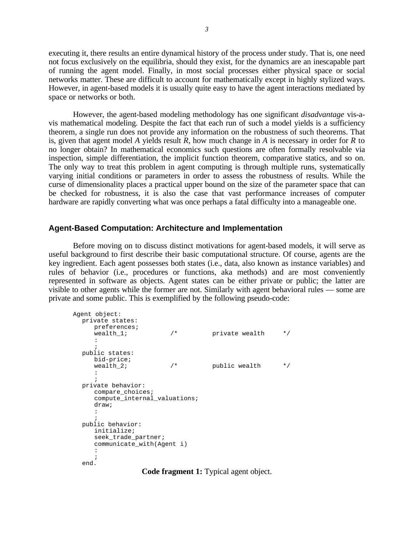executing it, there results an entire dynamical history of the process under study. That is, one need not focus exclusively on the equilibria, should they exist, for the dynamics are an inescapable part of running the agent model. Finally, in most social processes either physical space or social networks matter. These are difficult to account for mathematically except in highly stylized ways. However, in agent-based models it is usually quite easy to have the agent interactions mediated by space or networks or both.

However, the agent-based modeling methodology has one significant *disadvantage* vis-avis mathematical modeling. Despite the fact that each run of such a model yields is a sufficiency theorem, a single run does not provide any information on the robustness of such theorems. That is, given that agent model *A* yields result *R*, how much change in *A* is necessary in order for *R* to no longer obtain? In mathematical economics such questions are often formally resolvable via inspection, simple differentiation, the implicit function theorem, comparative statics, and so on. The only way to treat this problem in agent computing is through multiple runs, systematically varying initial conditions or parameters in order to assess the robustness of results. While the curse of dimensionality places a practical upper bound on the size of the parameter space that can be checked for robustness, it is also the case that vast performance increases of computer hardware are rapidly converting what was once perhaps a fatal difficulty into a manageable one.

### **Agent-Based Computation: Architecture and Implementation**

Before moving on to discuss distinct motivations for agent-based models, it will serve as useful background to first describe their basic computational structure. Of course, agents are the key ingredient. Each agent possesses both states (i.e., data, also known as instance variables) and rules of behavior (i.e., procedures or functions, aka methods) and are most conveniently represented in software as objects. Agent states can be either private or public; the latter are visible to other agents while the former are not. Similarly with agent behavioral rules — some are private and some public. This is exemplified by the following pseudo-code:

```
Agent object:
private states:
    preferences;<br>wealth 1;
                           \frac{1}{4} private wealth */
    :
    ;
public states:
    bid-price;<br>wealth 2;
                          \frac{x}{2} public wealth \frac{x}{2}:
    ;
private behavior:
    compare_choices;
    compute_internal_valuations;
    draw;
    :
    ;
public behavior:
    initialize;
    seek_trade_partner;
    communicate_with(Agent i)
    :
    ;
end.
```
**Code fragment 1:** Typical agent object.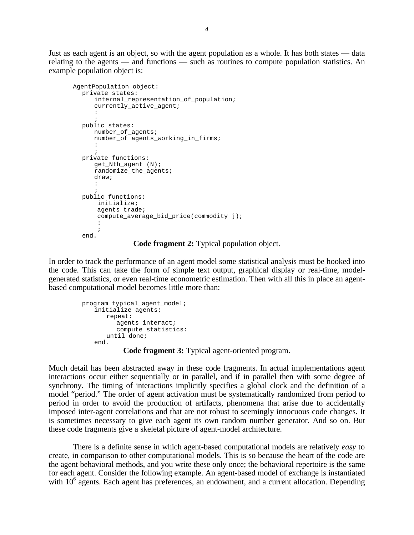Just as each agent is an object, so with the agent population as a whole. It has both states — data relating to the agents — and functions — such as routines to compute population statistics. An example population object is:

```
AgentPopulation object:
private states:
    internal representation of population;
    currently_active_agent;
    :
    ;
public states:
    number of agents;
    number of agents_working_in_firms;
    :
    ;
private functions:
    get Nth agent (N);randomize_the_agents;
    draw;
    :
    ;
public functions:
     initialize;
    agents_trade;
    compute_average_bid_price(commodity j);
     :
     ;
end.
```
**Code fragment 2:** Typical population object.

In order to track the performance of an agent model some statistical analysis must be hooked into the code. This can take the form of simple text output, graphical display or real-time, modelgenerated statistics, or even real-time econometric estimation. Then with all this in place an agentbased computational model becomes little more than:

```
program typical_agent_model;
 initialize agents;
    repeat:
       aqents interact;
       compute_statistics:
    until done;
 end.
```
**Code fragment 3:** Typical agent-oriented program.

Much detail has been abstracted away in these code fragments. In actual implementations agent interactions occur either sequentially or in parallel, and if in parallel then with some degree of synchrony. The timing of interactions implicitly specifies a global clock and the definition of a model "period." The order of agent activation must be systematically randomized from period to period in order to avoid the production of artifacts, phenomena that arise due to accidentally imposed inter-agent correlations and that are not robust to seemingly innocuous code changes. It is sometimes necessary to give each agent its own random number generator. And so on. But these code fragments give a skeletal picture of agent-model architecture.

There is a definite sense in which agent-based computational models are relatively *easy* to create, in comparison to other computational models. This is so because the heart of the code are the agent behavioral methods, and you write these only once; the behavioral repertoire is the same for each agent. Consider the following example. An agent-based model of exchange is instantiated with 10<sup>6</sup> agents. Each agent has preferences, an endowment, and a current allocation. Depending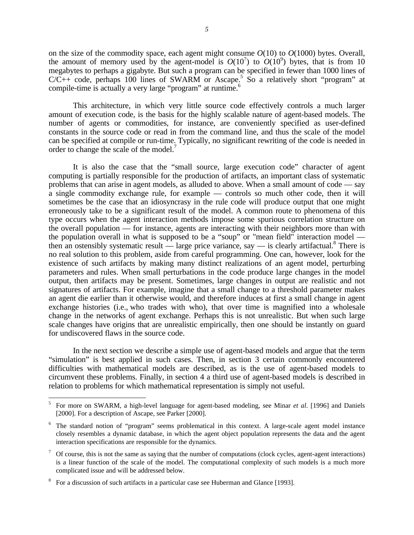on the size of the commodity space, each agent might consume  $O(10)$  to  $O(1000)$  bytes. Overall, the amount of memory used by the agent-model is  $O(10^7)$  to  $O(10^9)$  bytes, that is from 10 megabytes to perhaps a gigabyte. But such a program can be specified in fewer than 1000 lines of  $C/C++$  code, perhaps 100 lines of SWARM or Ascape.<sup>5</sup> So a relatively short "program" at compile-time is actually a very large "program" at runtime.<sup>6</sup>

This architecture, in which very little source code effectively controls a much larger amount of execution code, is the basis for the highly scalable nature of agent-based models. The number of agents or commodities, for instance, are conveniently specified as user-defined constants in the source code or read in from the command line, and thus the scale of the model can be specified at compile or run-time. Typically, no significant rewriting of the code is needed in order to change the scale of the model.<sup>7</sup>

It is also the case that the "small source, large execution code" character of agent computing is partially responsible for the production of artifacts, an important class of systematic problems that can arise in agent models, as alluded to above. When a small amount of code — say a single commodity exchange rule, for example — controls so much other code, then it will sometimes be the case that an idiosyncrasy in the rule code will produce output that one might erroneously take to be a significant result of the model. A common route to phenomena of this type occurs when the agent interaction methods impose some spurious correlation structure on the overall population — for instance, agents are interacting with their neighbors more than with the population overall in what is supposed to be a "soup" or "mean field" interaction model then an ostensibly systematic result  $\frac{1}{2}$  large price variance, say  $\frac{1}{2}$  is clearly artifactual.<sup>8</sup> There is no real solution to this problem, aside from careful programming. One can, however, look for the existence of such artifacts by making many distinct realizations of an agent model, perturbing parameters and rules. When small perturbations in the code produce large changes in the model output, then artifacts may be present. Sometimes, large changes in output are realistic and not signatures of artifacts. For example, imagine that a small change to a threshold parameter makes an agent die earlier than it otherwise would, and therefore induces at first a small change in agent exchange histories (i.e., who trades with who), that over time is magnified into a wholesale change in the networks of agent exchange. Perhaps this is not unrealistic. But when such large scale changes have origins that are unrealistic empirically, then one should be instantly on guard for undiscovered flaws in the source code.

In the next section we describe a simple use of agent-based models and argue that the term "simulation" is best applied in such cases. Then, in section 3 certain commonly encountered difficulties with mathematical models are described, as is the use of agent-based models to circumvent these problems. Finally, in section 4 a third use of agent-based models is described in relation to problems for which mathematical representation is simply not useful.

<sup>5</sup> For more on SWARM, a high-level language for agent-based modeling, see Minar *et al.* [1996] and Daniels [2000]. For a description of Ascape, see Parker [2000].

<sup>&</sup>lt;sup>6</sup> The standard notion of "program" seems problematical in this context. A large-scale agent model instance closely resembles a dynamic database, in which the agent object population represents the data and the agent interaction specifications are responsible for the dynamics.

 $\frac{7}{10}$  Of course, this is not the same as saying that the number of computations (clock cycles, agent-agent interactions) is a linear function of the scale of the model. The computational complexity of such models is a much more complicated issue and will be addressed below.

<sup>&</sup>lt;sup>8</sup> For a discussion of such artifacts in a particular case see Huberman and Glance [1993].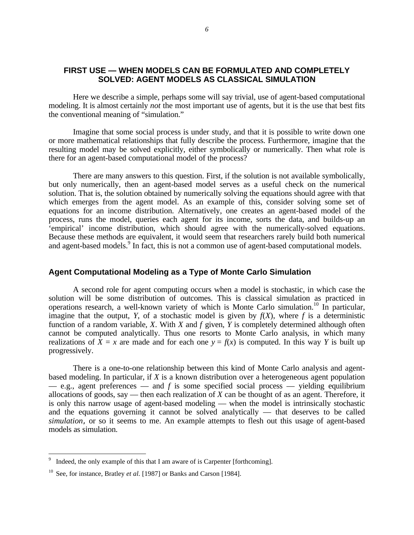# **FIRST USE — WHEN MODELS CAN BE FORMULATED AND COMPLETELY SOLVED: AGENT MODELS AS CLASSICAL SIMULATION**

Here we describe a simple, perhaps some will say trivial, use of agent-based computational modeling. It is almost certainly *not* the most important use of agents, but it is the use that best fits the conventional meaning of "simulation."

Imagine that some social process is under study, and that it is possible to write down one or more mathematical relationships that fully describe the process. Furthermore, imagine that the resulting model may be solved explicitly, either symbolically or numerically. Then what role is there for an agent-based computational model of the process?

There are many answers to this question. First, if the solution is not available symbolically, but only numerically, then an agent-based model serves as a useful check on the numerical solution. That is, the solution obtained by numerically solving the equations should agree with that which emerges from the agent model. As an example of this, consider solving some set of equations for an income distribution. Alternatively, one creates an agent-based model of the process, runs the model, queries each agent for its income, sorts the data, and builds-up an 'empirical' income distribution, which should agree with the numerically-solved equations. Because these methods are equivalent, it would seem that researchers rarely build both numerical and agent-based models.<sup>9</sup> In fact, this is not a common use of agent-based computational models.

### **Agent Computational Modeling as a Type of Monte Carlo Simulation**

A second role for agent computing occurs when a model is stochastic, in which case the solution will be some distribution of outcomes. This is classical simulation as practiced in operations research, a well-known variety of which is Monte Carlo simulation.<sup>10</sup> In particular, imagine that the output, *Y*, of a stochastic model is given by  $f(X)$ , where f is a deterministic function of a random variable, *X*. With *X* and *f* given, *Y* is completely determined although often cannot be computed analytically. Thus one resorts to Monte Carlo analysis, in which many realizations of  $\overline{X} = x$  are made and for each one  $y = f(x)$  is computed. In this way *Y* is built up progressively.

There is a one-to-one relationship between this kind of Monte Carlo analysis and agentbased modeling. In particular, if *X* is a known distribution over a heterogeneous agent population  $-$  e.g., agent preferences  $-$  and  $f$  is some specified social process  $-$  yielding equilibrium allocations of goods, say — then each realization of *X* can be thought of as an agent. Therefore, it is only this narrow usage of agent-based modeling — when the model is intrinsically stochastic and the equations governing it cannot be solved analytically — that deserves to be called *simulation,* or so it seems to me. An example attempts to flesh out this usage of agent-based models as simulation.

<sup>9</sup> Indeed, the only example of this that I am aware of is Carpenter [forthcoming].

<sup>&</sup>lt;sup>10</sup> See, for instance, Bratley *et al.* [1987] or Banks and Carson [1984].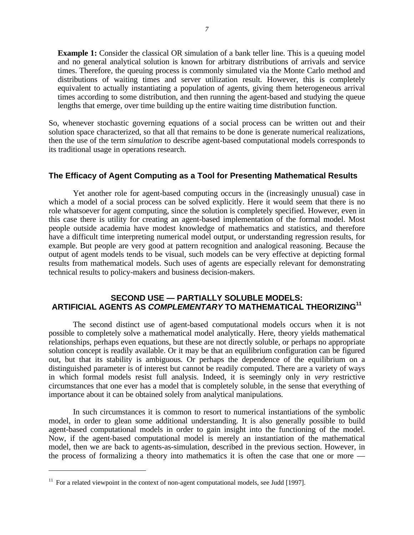**Example 1:** Consider the classical OR simulation of a bank teller line. This is a queuing model and no general analytical solution is known for arbitrary distributions of arrivals and service times. Therefore, the queuing process is commonly simulated via the Monte Carlo method and distributions of waiting times and server utilization result. However, this is completely equivalent to actually instantiating a population of agents, giving them heterogeneous arrival times according to some distribution, and then running the agent-based and studying the queue lengths that emerge, over time building up the entire waiting time distribution function.

So, whenever stochastic governing equations of a social process can be written out and their solution space characterized, so that all that remains to be done is generate numerical realizations, then the use of the term *simulation* to describe agent-based computational models corresponds to its traditional usage in operations research.

### **The Efficacy of Agent Computing as a Tool for Presenting Mathematical Results**

Yet another role for agent-based computing occurs in the (increasingly unusual) case in which a model of a social process can be solved explicitly. Here it would seem that there is no role whatsoever for agent computing, since the solution is completely specified. However, even in this case there is utility for creating an agent-based implementation of the formal model. Most people outside academia have modest knowledge of mathematics and statistics, and therefore have a difficult time interpreting numerical model output, or understanding regression results, for example. But people are very good at pattern recognition and analogical reasoning. Because the output of agent models tends to be visual, such models can be very effective at depicting formal results from mathematical models. Such uses of agents are especially relevant for demonstrating technical results to policy-makers and business decision-makers.

## **SECOND USE — PARTIALLY SOLUBLE MODELS: ARTIFICIAL AGENTS AS** *COMPLEMENTARY* **TO MATHEMATICAL THEORIZING<sup>11</sup>**

The second distinct use of agent-based computational models occurs when it is not possible to completely solve a mathematical model analytically. Here, theory yields mathematical relationships, perhaps even equations, but these are not directly soluble, or perhaps no appropriate solution concept is readily available. Or it may be that an equilibrium configuration can be figured out, but that its stability is ambiguous. Or perhaps the dependence of the equilibrium on a distinguished parameter is of interest but cannot be readily computed. There are a variety of ways in which formal models resist full analysis. Indeed, it is seemingly only in *very* restrictive circumstances that one ever has a model that is completely soluble, in the sense that everything of importance about it can be obtained solely from analytical manipulations.

In such circumstances it is common to resort to numerical instantiations of the symbolic model, in order to glean some additional understanding. It is also generally possible to build agent-based computational models in order to gain insight into the functioning of the model. Now, if the agent-based computational model is merely an instantiation of the mathematical model, then we are back to agents-as-simulation, described in the previous section. However, in the process of formalizing a theory into mathematics it is often the case that one or more —

 $11$  For a related viewpoint in the context of non-agent computational models, see Judd [1997].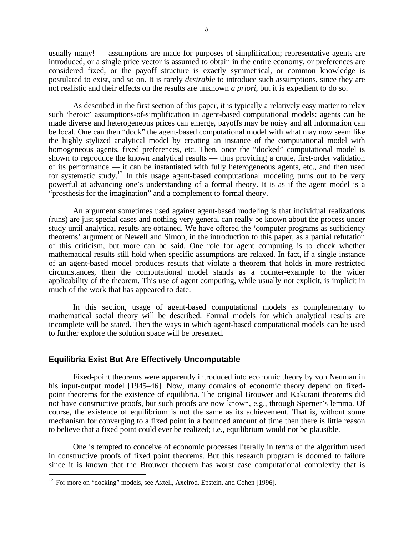usually many! — assumptions are made for purposes of simplification; representative agents are introduced, or a single price vector is assumed to obtain in the entire economy, or preferences are considered fixed, or the payoff structure is exactly symmetrical, or common knowledge is postulated to exist, and so on. It is rarely *desirable* to introduce such assumptions, since they are not realistic and their effects on the results are unknown *a priori*, but it is expedient to do so.

As described in the first section of this paper, it is typically a relatively easy matter to relax such 'heroic' assumptions-of-simplification in agent-based computational models: agents can be made diverse and heterogeneous prices can emerge, payoffs may be noisy and all information can be local. One can then "dock" the agent-based computational model with what may now seem like the highly stylized analytical model by creating an instance of the computational model with homogeneous agents, fixed preferences, etc. Then, once the "docked" computational model is shown to reproduce the known analytical results — thus providing a crude, first-order validation of its performance — it can be instantiated with fully heterogeneous agents, etc., and then used for systematic study.<sup>12</sup> In this usage agent-based computational modeling turns out to be very powerful at advancing one's understanding of a formal theory. It is as if the agent model is a "prosthesis for the imagination" and a complement to formal theory.

An argument sometimes used against agent-based modeling is that individual realizations (runs) are just special cases and nothing very general can really be known about the process under study until analytical results are obtained. We have offered the 'computer programs as sufficiency theorems' argument of Newell and Simon, in the introduction to this paper, as a partial refutation of this criticism, but more can be said. One role for agent computing is to check whether mathematical results still hold when specific assumptions are relaxed. In fact, if a single instance of an agent-based model produces results that violate a theorem that holds in more restricted circumstances, then the computational model stands as a counter-example to the wider applicability of the theorem. This use of agent computing, while usually not explicit, is implicit in much of the work that has appeared to date.

In this section, usage of agent-based computational models as complementary to mathematical social theory will be described. Formal models for which analytical results are incomplete will be stated. Then the ways in which agent-based computational models can be used to further explore the solution space will be presented.

### **Equilibria Exist But Are Effectively Uncomputable**

Fixed-point theorems were apparently introduced into economic theory by von Neuman in his input-output model [1945–46]. Now, many domains of economic theory depend on fixedpoint theorems for the existence of equilibria. The original Brouwer and Kakutani theorems did not have constructive proofs, but such proofs are now known, e.g., through Sperner's lemma. Of course, the existence of equilibrium is not the same as its achievement. That is, without some mechanism for converging to a fixed point in a bounded amount of time then there is little reason to believe that a fixed point could ever be realized; i.e., equilibrium would not be plausible.

One is tempted to conceive of economic processes literally in terms of the algorithm used in constructive proofs of fixed point theorems. But this research program is doomed to failure since it is known that the Brouwer theorem has worst case computational complexity that is

<u>.</u>

 $12$  For more on "docking" models, see Axtell, Axelrod, Epstein, and Cohen [1996].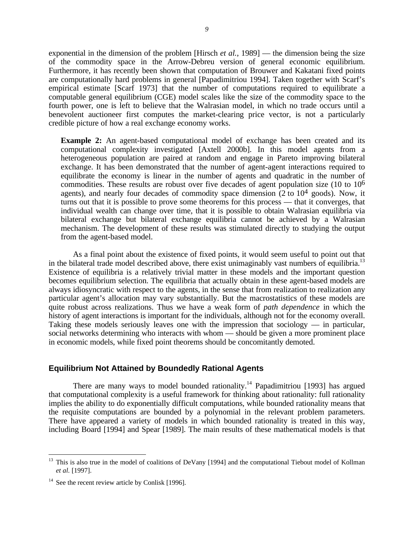exponential in the dimension of the problem [Hirsch *et al.*, 1989] — the dimension being the size of the commodity space in the Arrow-Debreu version of general economic equilibrium. Furthermore, it has recently been shown that computation of Brouwer and Kakatani fixed points are computationally hard problems in general [Papadimitriou 1994]. Taken together with Scarf's empirical estimate [Scarf 1973] that the number of computations required to equilibrate a computable general equilibrium (CGE) model scales like the size of the commodity space to the fourth power, one is left to believe that the Walrasian model, in which no trade occurs until a benevolent auctioneer first computes the market-clearing price vector, is not a particularly credible picture of how a real exchange economy works.

**Example 2:** An agent-based computational model of exchange has been created and its computational complexity investigated [Axtell 2000b]. In this model agents from a heterogeneous population are paired at random and engage in Pareto improving bilateral exchange. It has been demonstrated that the number of agent-agent interactions required to equilibrate the economy is linear in the number of agents and quadratic in the number of commodities. These results are robust over five decades of agent population size (10 to  $10<sup>6</sup>$ agents), and nearly four decades of commodity space dimension  $(2 \text{ to } 10^4 \text{ goods})$ . Now, it turns out that it is possible to prove some theorems for this process — that it converges, that individual wealth can change over time, that it is possible to obtain Walrasian equilibria via bilateral exchange but bilateral exchange equilibria cannot be achieved by a Walrasian mechanism. The development of these results was stimulated directly to studying the output from the agent-based model.

As a final point about the existence of fixed points, it would seem useful to point out that in the bilateral trade model described above, there exist unimaginably vast numbers of equilibria.<sup>13</sup> Existence of equilibria is a relatively trivial matter in these models and the important question becomes equilibrium selection. The equilibria that actually obtain in these agent-based models are always idiosyncratic with respect to the agents, in the sense that from realization to realization any particular agent's allocation may vary substantially. But the macrostatistics of these models are quite robust across realizations. Thus we have a weak form of *path dependence* in which the history of agent interactions is important for the individuals, although not for the economy overall. Taking these models seriously leaves one with the impression that sociology — in particular, social networks determining who interacts with whom — should be given a more prominent place in economic models, while fixed point theorems should be concomitantly demoted.

### **Equilibrium Not Attained by Boundedly Rational Agents**

There are many ways to model bounded rationality.<sup>14</sup> Papadimitriou  $[1993]$  has argued that computational complexity is a useful framework for thinking about rationality: full rationality implies the ability to do exponentially difficult computations, while bounded rationality means that the requisite computations are bounded by a polynomial in the relevant problem parameters. There have appeared a variety of models in which bounded rationality is treated in this way, including Board [1994] and Spear [1989]. The main results of these mathematical models is that

<sup>&</sup>lt;sup>13</sup> This is also true in the model of coalitions of DeVany [1994] and the computational Tiebout model of Kollman *et al.* [1997].

 $14$  See the recent review article by Conlisk [1996].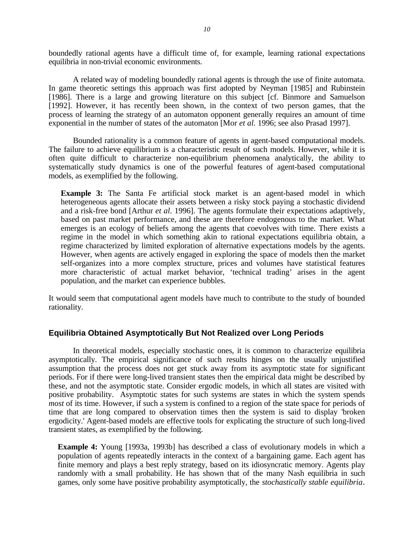boundedly rational agents have a difficult time of, for example, learning rational expectations equilibria in non-trivial economic environments.

A related way of modeling boundedly rational agents is through the use of finite automata. In game theoretic settings this approach was first adopted by Neyman [1985] and Rubinstein [1986]. There is a large and growing literature on this subject [cf. Binmore and Samuelson [1992]. However, it has recently been shown, in the context of two person games, that the process of learning the strategy of an automaton opponent generally requires an amount of time exponential in the number of states of the automaton [Mor *et al.* 1996; see also Prasad 1997].

Bounded rationality is a common feature of agents in agent-based computational models. The failure to achieve equilibrium is a characteristic result of such models. However, while it is often quite difficult to characterize non-equilibrium phenomena analytically, the ability to systematically study dynamics is one of the powerful features of agent-based computational models, as exemplified by the following.

**Example 3:** The Santa Fe artificial stock market is an agent-based model in which heterogeneous agents allocate their assets between a risky stock paying a stochastic dividend and a risk-free bond [Arthur *et al*. 1996]. The agents formulate their expectations adaptively, based on past market performance, and these are therefore endogenous to the market. What emerges is an ecology of beliefs among the agents that coevolves with time. There exists a regime in the model in which something akin to rational expectations equilibria obtain, a regime characterized by limited exploration of alternative expectations models by the agents. However, when agents are actively engaged in exploring the space of models then the market self-organizes into a more complex structure, prices and volumes have statistical features more characteristic of actual market behavior, 'technical trading' arises in the agent population, and the market can experience bubbles.

It would seem that computational agent models have much to contribute to the study of bounded rationality.

# **Equilibria Obtained Asymptotically But Not Realized over Long Periods**

In theoretical models, especially stochastic ones, it is common to characterize equilibria asymptotically. The empirical significance of such results hinges on the usually unjustified assumption that the process does not get stuck away from its asymptotic state for significant periods. For if there were long-lived transient states then the empirical data might be described by these, and not the asymptotic state. Consider ergodic models, in which all states are visited with positive probability. Asymptotic states for such systems are states in which the system spends *most* of its time. However, if such a system is confined to a region of the state space for periods of time that are long compared to observation times then the system is said to display 'broken ergodicity.' Agent-based models are effective tools for explicating the structure of such long-lived transient states, as exemplified by the following.

**Example 4:** Young [1993a, 1993b] has described a class of evolutionary models in which a population of agents repeatedly interacts in the context of a bargaining game. Each agent has finite memory and plays a best reply strategy, based on its idiosyncratic memory. Agents play randomly with a small probability. He has shown that of the many Nash equilibria in such games, only some have positive probability asymptotically, the *stochastically stable equilibria.*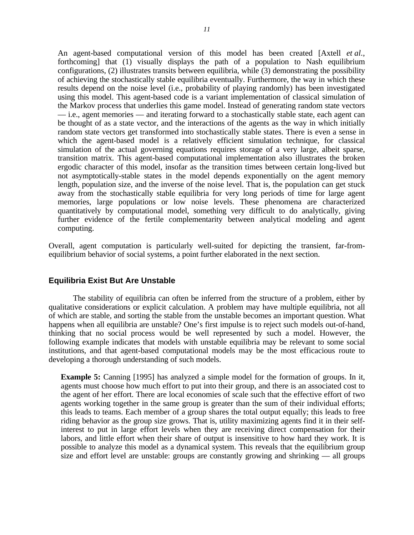An agent-based computational version of this model has been created [Axtell *et al*., forthcoming] that (1) visually displays the path of a population to Nash equilibrium configurations, (2) illustrates transits between equilibria, while (3) demonstrating the possibility of achieving the stochastically stable equilibria eventually. Furthermore, the way in which these results depend on the noise level (i.e., probability of playing randomly) has been investigated using this model. This agent-based code is a variant implementation of classical simulation of the Markov process that underlies this game model. Instead of generating random state vectors — i.e., agent memories — and iterating forward to a stochastically stable state, each agent can be thought of as a state vector, and the interactions of the agents as the way in which initially random state vectors get transformed into stochastically stable states. There is even a sense in which the agent-based model is a relatively efficient simulation technique, for classical simulation of the actual governing equations requires storage of a very large, albeit sparse, transition matrix. This agent-based computational implementation also illustrates the broken ergodic character of this model, insofar as the transition times between certain long-lived but not asymptotically-stable states in the model depends exponentially on the agent memory length, population size, and the inverse of the noise level. That is, the population can get stuck away from the stochastically stable equilibria for very long periods of time for large agent memories, large populations or low noise levels. These phenomena are characterized quantitatively by computational model, something very difficult to do analytically, giving further evidence of the fertile complementarity between analytical modeling and agent computing.

Overall, agent computation is particularly well-suited for depicting the transient, far-fromequilibrium behavior of social systems, a point further elaborated in the next section.

### **Equilibria Exist But Are Unstable**

The stability of equilibria can often be inferred from the structure of a problem, either by qualitative considerations or explicit calculation. A problem may have multiple equilibria, not all of which are stable, and sorting the stable from the unstable becomes an important question. What happens when all equilibria are unstable? One's first impulse is to reject such models out-of-hand, thinking that no social process would be well represented by such a model. However, the following example indicates that models with unstable equilibria may be relevant to some social institutions, and that agent-based computational models may be the most efficacious route to developing a thorough understanding of such models.

**Example 5:** Canning [1995] has analyzed a simple model for the formation of groups. In it, agents must choose how much effort to put into their group, and there is an associated cost to the agent of her effort. There are local economies of scale such that the effective effort of two agents working together in the same group is greater than the sum of their individual efforts; this leads to teams. Each member of a group shares the total output equally; this leads to free riding behavior as the group size grows. That is, utility maximizing agents find it in their selfinterest to put in large effort levels when they are receiving direct compensation for their labors, and little effort when their share of output is insensitive to how hard they work. It is possible to analyze this model as a dynamical system. This reveals that the equilibrium group size and effort level are unstable: groups are constantly growing and shrinking — all groups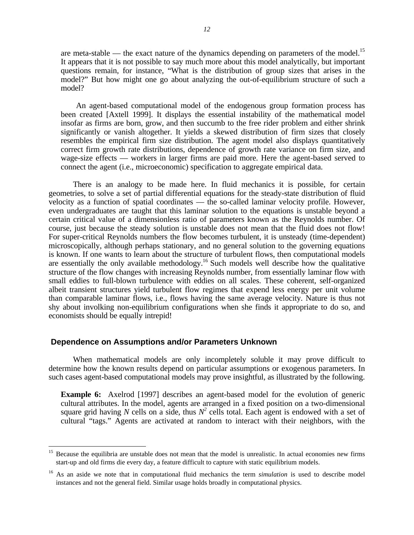are meta-stable — the exact nature of the dynamics depending on parameters of the model.<sup>15</sup> It appears that it is not possible to say much more about this model analytically, but important questions remain, for instance, "What is the distribution of group sizes that arises in the model?" But how might one go about analyzing the out-of-equilibrium structure of such a model?

An agent-based computational model of the endogenous group formation process has been created [Axtell 1999]. It displays the essential instability of the mathematical model insofar as firms are born, grow, and then succumb to the free rider problem and either shrink significantly or vanish altogether. It yields a skewed distribution of firm sizes that closely resembles the empirical firm size distribution. The agent model also displays quantitatively correct firm growth rate distributions, dependence of growth rate variance on firm size, and wage-size effects — workers in larger firms are paid more. Here the agent-based served to connect the agent (i.e., microeconomic) specification to aggregate empirical data.

There is an analogy to be made here. In fluid mechanics it is possible, for certain geometries, to solve a set of partial differential equations for the steady-state distribution of fluid velocity as a function of spatial coordinates — the so-called laminar velocity profile. However, even undergraduates are taught that this laminar solution to the equations is unstable beyond a certain critical value of a dimensionless ratio of parameters known as the Reynolds number. Of course, just because the steady solution is unstable does not mean that the fluid does not flow! For super-critical Reynolds numbers the flow becomes turbulent, it is unsteady (time-dependent) microscopically, although perhaps stationary, and no general solution to the governing equations is known. If one wants to learn about the structure of turbulent flows, then computational models are essentially the only available methodology.<sup>16</sup> Such models well describe how the qualitative structure of the flow changes with increasing Reynolds number, from essentially laminar flow with small eddies to full-blown turbulence with eddies on all scales. These coherent, self-organized albeit transient structures yield turbulent flow regimes that expend less energy per unit volume than comparable laminar flows, i.e., flows having the same average velocity. Nature is thus not shy about involking non-equilibrium configurations when she finds it appropriate to do so, and economists should be equally intrepid!

## **Dependence on Assumptions and/or Parameters Unknown**

<u>.</u>

When mathematical models are only incompletely soluble it may prove difficult to determine how the known results depend on particular assumptions or exogenous parameters. In such cases agent-based computational models may prove insightful, as illustrated by the following.

**Example 6:** Axelrod [1997] describes an agent-based model for the evolution of generic cultural attributes. In the model, agents are arranged in a fixed position on a two-dimensional square grid having N cells on a side, thus  $N^2$  cells total. Each agent is endowed with a set of cultural "tags." Agents are activated at random to interact with their neighbors, with the

<sup>&</sup>lt;sup>15</sup> Because the equilibria are unstable does not mean that the model is unrealistic. In actual economies new firms start-up and old firms die every day, a feature difficult to capture with static equilibrium models.

<sup>&</sup>lt;sup>16</sup> As an aside we note that in computational fluid mechanics the term *simulation* is used to describe model instances and not the general field. Similar usage holds broadly in computational physics.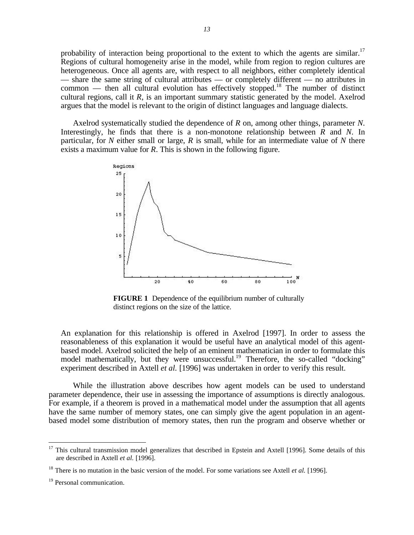probability of interaction being proportional to the extent to which the agents are similar.<sup>17</sup> Regions of cultural homogeneity arise in the model, while from region to region cultures are heterogeneous. Once all agents are, with respect to all neighbors, either completely identical — share the same string of cultural attributes — or completely different — no attributes in common — then all cultural evolution has effectively stopped.<sup>18</sup> The number of distinct cultural regions, call it *R*, is an important summary statistic generated by the model. Axelrod argues that the model is relevant to the origin of distinct languages and language dialects.

Axelrod systematically studied the dependence of *R* on, among other things, parameter *N*. Interestingly, he finds that there is a non-monotone relationship between *R* and *N*. In particular, for *N* either small or large, *R* is small, while for an intermediate value of *N* there exists a maximum value for *R*. This is shown in the following figure.



**FIGURE 1** Dependence of the equilibrium number of culturally distinct regions on the size of the lattice.

An explanation for this relationship is offered in Axelrod [1997]. In order to assess the reasonableness of this explanation it would be useful have an analytical model of this agentbased model. Axelrod solicited the help of an eminent mathematician in order to formulate this model mathematically, but they were unsuccessful.<sup>19</sup> Therefore, the so-called "docking" experiment described in Axtell *et al.* [1996] was undertaken in order to verify this result.

While the illustration above describes how agent models can be used to understand parameter dependence, their use in assessing the importance of assumptions is directly analogous. For example, if a theorem is proved in a mathematical model under the assumption that all agents have the same number of memory states, one can simply give the agent population in an agentbased model some distribution of memory states, then run the program and observe whether or

<u>.</u>

 $17$  This cultural transmission model generalizes that described in Epstein and Axtell [1996]. Some details of this are described in Axtell *et al.* [1996].

<sup>&</sup>lt;sup>18</sup> There is no mutation in the basic version of the model. For some variations see Axtell *et al.* [1996].

<sup>&</sup>lt;sup>19</sup> Personal communication.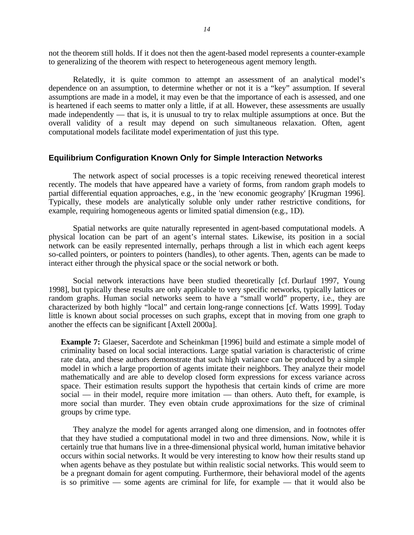not the theorem still holds. If it does not then the agent-based model represents a counter-example to generalizing of the theorem with respect to heterogeneous agent memory length.

Relatedly, it is quite common to attempt an assessment of an analytical model's dependence on an assumption, to determine whether or not it is a "key" assumption. If several assumptions are made in a model, it may even be that the importance of each is assessed, and one is heartened if each seems to matter only a little, if at all. However, these assessments are usually made independently — that is, it is unusual to try to relax multiple assumptions at once. But the overall validity of a result may depend on such simultaneous relaxation. Often, agent computational models facilitate model experimentation of just this type.

### **Equilibrium Configuration Known Only for Simple Interaction Networks**

The network aspect of social processes is a topic receiving renewed theoretical interest recently. The models that have appeared have a variety of forms, from random graph models to partial differential equation approaches, e.g., in the 'new economic geography' [Krugman 1996]. Typically, these models are analytically soluble only under rather restrictive conditions, for example, requiring homogeneous agents or limited spatial dimension (e.g., 1D).

Spatial networks are quite naturally represented in agent-based computational models. A physical location can be part of an agent's internal states. Likewise, its position in a social network can be easily represented internally, perhaps through a list in which each agent keeps so-called pointers, or pointers to pointers (handles), to other agents. Then, agents can be made to interact either through the physical space or the social network or both.

Social network interactions have been studied theoretically [cf. Durlauf 1997, Young 1998], but typically these results are only applicable to very specific networks, typically lattices or random graphs. Human social networks seem to have a "small world" property, i.e., they are characterized by both highly "local" and certain long-range connections [cf. Watts 1999]. Today little is known about social processes on such graphs, except that in moving from one graph to another the effects can be significant [Axtell 2000a].

**Example 7:** Glaeser, Sacerdote and Scheinkman [1996] build and estimate a simple model of criminality based on local social interactions. Large spatial variation is characteristic of crime rate data, and these authors demonstrate that such high variance can be produced by a simple model in which a large proportion of agents imitate their neighbors. They analyze their model mathematically and are able to develop closed form expressions for excess variance across space. Their estimation results support the hypothesis that certain kinds of crime are more social — in their model, require more imitation — than others. Auto theft, for example, is more social than murder. They even obtain crude approximations for the size of criminal groups by crime type.

They analyze the model for agents arranged along one dimension, and in footnotes offer that they have studied a computational model in two and three dimensions. Now, while it is certainly true that humans live in a three-dimensional physical world, human imitative behavior occurs within social networks. It would be very interesting to know how their results stand up when agents behave as they postulate but within realistic social networks. This would seem to be a pregnant domain for agent computing. Furthermore, their behavioral model of the agents is so primitive — some agents are criminal for life, for example — that it would also be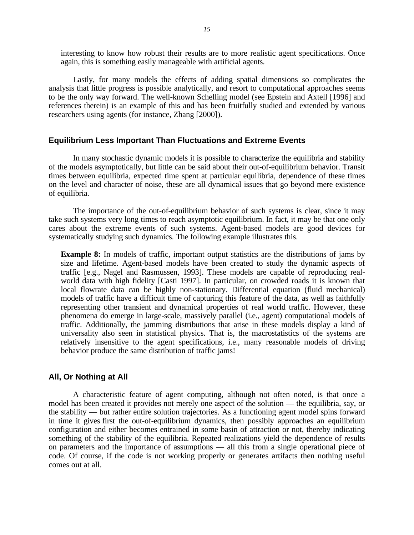interesting to know how robust their results are to more realistic agent specifications. Once again, this is something easily manageable with artificial agents.

Lastly, for many models the effects of adding spatial dimensions so complicates the analysis that little progress is possible analytically, and resort to computational approaches seems to be the only way forward. The well-known Schelling model (see Epstein and Axtell [1996] and references therein) is an example of this and has been fruitfully studied and extended by various researchers using agents (for instance, Zhang [2000]).

#### **Equilibrium Less Important Than Fluctuations and Extreme Events**

In many stochastic dynamic models it is possible to characterize the equilibria and stability of the models asymptotically, but little can be said about their out-of-equilibrium behavior. Transit times between equilibria, expected time spent at particular equilibria, dependence of these times on the level and character of noise, these are all dynamical issues that go beyond mere existence of equilibria.

The importance of the out-of-equilibrium behavior of such systems is clear, since it may take such systems very long times to reach asymptotic equilibrium. In fact, it may be that one only cares about the extreme events of such systems. Agent-based models are good devices for systematically studying such dynamics. The following example illustrates this.

**Example 8:** In models of traffic, important output statistics are the distributions of jams by size and lifetime. Agent-based models have been created to study the dynamic aspects of traffic [e.g., Nagel and Rasmussen, 1993]. These models are capable of reproducing realworld data with high fidelity [Casti 1997]. In particular, on crowded roads it is known that local flowrate data can be highly non-stationary. Differential equation (fluid mechanical) models of traffic have a difficult time of capturing this feature of the data, as well as faithfully representing other transient and dynamical properties of real world traffic. However, these phenomena do emerge in large-scale, massively parallel (i.e., agent) computational models of traffic. Additionally, the jamming distributions that arise in these models display a kind of universality also seen in statistical physics. That is, the macrostatistics of the systems are relatively insensitive to the agent specifications, i.e., many reasonable models of driving behavior produce the same distribution of traffic jams!

### **All, Or Nothing at All**

A characteristic feature of agent computing, although not often noted, is that once a model has been created it provides not merely one aspect of the solution — the equilibria, say, or the stability — but rather entire solution trajectories. As a functioning agent model spins forward in time it gives first the out-of-equilibrium dynamics, then possibly approaches an equilibrium configuration and either becomes entrained in some basin of attraction or not, thereby indicating something of the stability of the equilibria. Repeated realizations yield the dependence of results on parameters and the importance of assumptions — all this from a single operational piece of code. Of course, if the code is not working properly or generates artifacts then nothing useful comes out at all.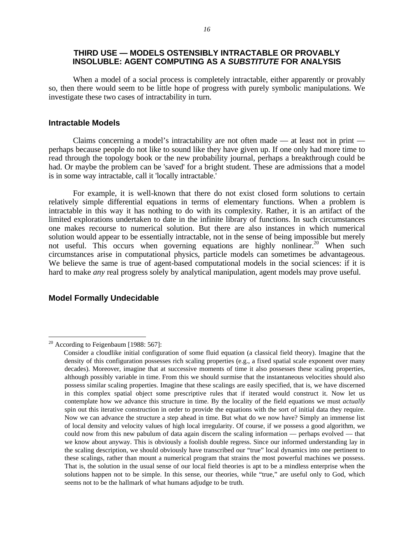# **THIRD USE — MODELS OSTENSIBLY INTRACTABLE OR PROVABLY INSOLUBLE: AGENT COMPUTING AS A** *SUBSTITUTE* **FOR ANALYSIS**

When a model of a social process is completely intractable, either apparently or provably so, then there would seem to be little hope of progress with purely symbolic manipulations. We investigate these two cases of intractability in turn.

#### **Intractable Models**

Claims concerning a model's intractability are not often made — at least not in print perhaps because people do not like to sound like they have given up. If one only had more time to read through the topology book or the new probability journal, perhaps a breakthrough could be had. Or maybe the problem can be 'saved' for a bright student. These are admissions that a model is in some way intractable, call it 'locally intractable.'

For example, it is well-known that there do not exist closed form solutions to certain relatively simple differential equations in terms of elementary functions. When a problem is intractable in this way it has nothing to do with its complexity. Rather, it is an artifact of the limited explorations undertaken to date in the infinite library of functions. In such circumstances one makes recourse to numerical solution. But there are also instances in which numerical solution would appear to be essentially intractable, not in the sense of being impossible but merely not useful. This occurs when governing equations are highly nonlinear.<sup>20</sup> When such circumstances arise in computational physics, particle models can sometimes be advantageous. We believe the same is true of agent-based computational models in the social sciences: if it is hard to make *any* real progress solely by analytical manipulation, agent models may prove useful.

### **Model Formally Undecidable**

<sup>&</sup>lt;sup>20</sup> According to Feigenbaum [1988: 567]:

Consider a cloudlike initial configuration of some fluid equation (a classical field theory). Imagine that the density of this configuration possesses rich scaling properties (e.g., a fixed spatial scale exponent over many decades). Moreover, imagine that at successive moments of time it also possesses these scaling properties, although possibly variable in time. From this we should surmise that the instantaneous velocities should also possess similar scaling properties. Imagine that these scalings are easily specified, that is, we have discerned in this complex spatial object some prescriptive rules that if iterated would construct it. Now let us contemplate how we advance this structure in time. By the locality of the field equations we must *actually* spin out this iterative construction in order to provide the equations with the sort of initial data they require. Now we can advance the structure a step ahead in time. But what do we now have? Simply an immense list of local density and velocity values of high local irregularity. Of course, if we possess a good algorithm, we could now from this new pabulum of data again discern the scaling information — perhaps evolved — that we know about anyway. This is obviously a foolish double regress. Since our informed understanding lay in the scaling description, we should obviously have transcribed our "true" local dynamics into one pertinent to these scalings, rather than mount a numerical program that strains the most powerful machines we possess. That is, the solution in the usual sense of our local field theories is apt to be a mindless enterprise when the solutions happen not to be simple. In this sense, our theories, while "true," are useful only to God, which seems not to be the hallmark of what humans adjudge to be truth.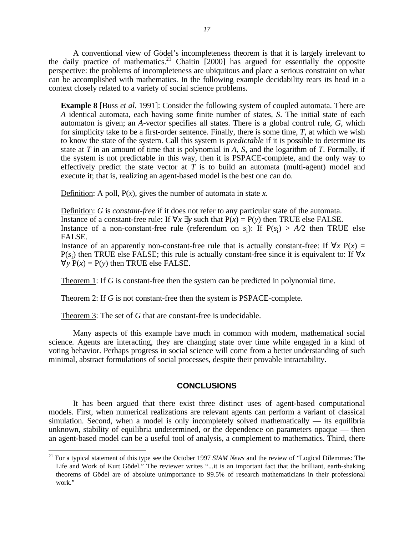A conventional view of Gödel's incompleteness theorem is that it is largely irrelevant to the daily practice of mathematics.<sup>21</sup> Chaitin  $[2000]$  has argued for essentially the opposite perspective: the problems of incompleteness are ubiquitous and place a serious constraint on what can be accomplished with mathematics. In the following example decidability rears its head in a context closely related to a variety of social science problems.

**Example 8** [Buss *et al.* 1991]: Consider the following system of coupled automata. There are *A* identical automata, each having some finite number of states, *S*. The initial state of each automaton is given; an *A*-vector specifies all states. There is a global control rule, *G*, which for simplicity take to be a first-order sentence. Finally, there is some time, *T*, at which we wish to know the state of the system. Call this system is *predictable* if it is possible to determine its state at *T* in an amount of time that is polynomial in *A, S*, and the logarithm of *T*. Formally, if the system is not predictable in this way, then it is PSPACE-complete, and the only way to effectively predict the state vector at *T* is to build an automata (multi-agent) model and execute it; that is, realizing an agent-based model is the best one can do.

Definition: A poll, P(*x*), gives the number of automata in state *x*.

Definition: *G* is *constant-free* if it does not refer to any particular state of the automata. Instance of a constant-free rule: If  $\forall x \exists y$  such that  $P(x) = P(y)$  then TRUE else FALSE. Instance of a non-constant-free rule (referendum on  $s_i$ ): If  $P(s_i) > A/2$  then TRUE else FALSE.

Instance of an apparently non-constant-free rule that is actually constant-free: If  $\forall x P(x) =$  $P(s_i)$  then TRUE else FALSE; this rule is actually constant-free since it is equivalent to: If  $\forall x$  $\forall y P(x) = P(y)$  then TRUE else FALSE.

Theorem 1: If *G* is constant-free then the system can be predicted in polynomial time.

Theorem 2: If *G* is not constant-free then the system is PSPACE-complete.

Theorem 3: The set of *G* that are constant-free is undecidable.

 $\overline{a}$ 

Many aspects of this example have much in common with modern, mathematical social science. Agents are interacting, they are changing state over time while engaged in a kind of voting behavior. Perhaps progress in social science will come from a better understanding of such minimal, abstract formulations of social processes, despite their provable intractability.

# **CONCLUSIONS**

It has been argued that there exist three distinct uses of agent-based computational models. First, when numerical realizations are relevant agents can perform a variant of classical simulation. Second, when a model is only incompletely solved mathematically  $-$  its equilibria unknown, stability of equilibria undetermined, or the dependence on parameters opaque — then an agent-based model can be a useful tool of analysis, a complement to mathematics. Third, there

<sup>&</sup>lt;sup>21</sup> For a typical statement of this type see the October 1997 *SIAM News* and the review of "Logical Dilemmas: The Life and Work of Kurt Gödel." The reviewer writes "...it is an important fact that the brilliant, earth-shaking theorems of Gödel are of absolute unimportance to 99.5% of research mathematicians in their professional work."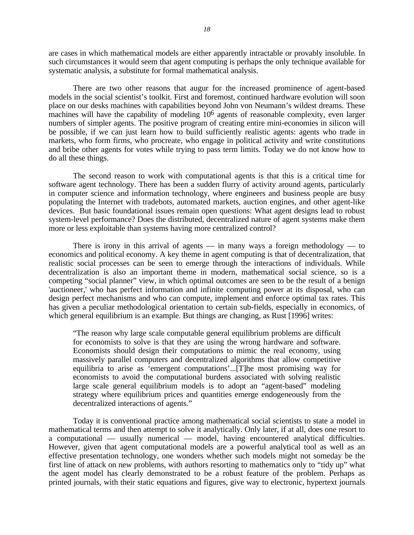are cases in which mathematical models are either apparently intractable or provably insoluble. In such circumstances it would seem that agent computing is perhaps the only technique available for systematic analysis, a substitute for formal mathematical analysis.

There are two other reasons that augur for the increased prominence of agent-based models in the social scientist's toolkit. First and foremost, continued hardware evolution will soon place on our desks machines with capabilities beyond John von Neumann's wildest dreams. These machines will have the capability of modeling 106 agents of reasonable complexity, even larger numbers of simpler agents. The positive program of creating entire mini-economies in silicon will be possible, if we can just learn how to build sufficiently realistic agents: agents who trade in markets, who form firms, who procreate, who engage in political activity and write constitutions and bribe other agents for votes while trying to pass term limits. Today we do not know how to do all these things.

The second reason to work with computational agents is that this is a critical time for software agent technology. There has been a sudden flurry of activity around agents, particularly in computer science and information technology, where engineers and business people are busy populating the Internet with tradebots, automated markets, auction engines, and other agent-like devices. But basic foundational issues remain open questions: What agent designs lead to robust system-level performance? Does the distributed, decentralized nature of agent systems make them more or less exploitable than systems having more centralized control?

There is irony in this arrival of agents — in many ways a foreign methodology — to economics and political economy. A key theme in agent computing is that of decentralization, that realistic social processes can be seen to emerge through the interactions of individuals. While decentralization is also an important theme in modern, mathematical social science, so is a competing "social planner" view, in which optimal outcomes are seen to be the result of a benign 'auctioneer,' who has perfect information and infinite computing power at its disposal, who can design perfect mechanisms and who can compute, implement and enforce optimal tax rates. This has given a peculiar methodological orientation to certain sub-fields, especially in economics, of which general equilibrium is an example. But things are changing, as Rust [1996] writes:

"The reason why large scale computable general equilibrium problems are difficult for economists to solve is that they are using the wrong hardware and software. Economists should design their computations to mimic the real economy, using massively parallel computers and decentralized algorithms that allow competitive equilibria to arise as 'emergent computations'...[T]he most promising way for economists to avoid the computational burdens associated with solving realistic large scale general equilibrium models is to adopt an "agent-based" modeling strategy where equilibrium prices and quantities emerge endogeneously from the decentralized interactions of agents."

Today it is conventional practice among mathematical social scientists to state a model in mathematical terms and then attempt to solve it analytically. Only later, if at all, does one resort to a computational — usually numerical — model, having encountered analytical difficulties. However, given that agent computational models are a powerful analytical tool as well as an effective presentation technology, one wonders whether such models might not someday be the first line of attack on new problems, with authors resorting to mathematics only to "tidy up" what the agent model has clearly demonstrated to be a robust feature of the problem. Perhaps as printed journals, with their static equations and figures, give way to electronic, hypertext journals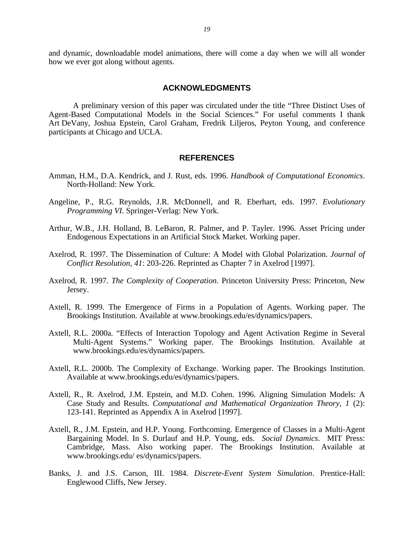and dynamic, downloadable model animations, there will come a day when we will all wonder how we ever got along without agents.

#### **ACKNOWLEDGMENTS**

A preliminary version of this paper was circulated under the title "Three Distinct Uses of Agent-Based Computational Models in the Social Sciences." For useful comments I thank Art DeVany, Joshua Epstein, Carol Graham, Fredrik Liljeros, Peyton Young, and conference participants at Chicago and UCLA.

#### **REFERENCES**

- Amman, H.M., D.A. Kendrick, and J. Rust, eds. 1996. *Handbook of Computational Economics*. North-Holland: New York.
- Angeline, P., R.G. Reynolds, J.R. McDonnell, and R. Eberhart, eds. 1997. *Evolutionary Programming VI*. Springer-Verlag: New York.
- Arthur, W.B., J.H. Holland, B. LeBaron, R. Palmer, and P. Tayler. 1996. Asset Pricing under Endogenous Expectations in an Artificial Stock Market. Working paper.
- Axelrod, R. 1997. The Dissemination of Culture: A Model with Global Polarization. *Journal of Conflict Resolution, 41*: 203-226. Reprinted as Chapter 7 in Axelrod [1997].
- Axelrod, R. 1997. *The Complexity of Cooperation.* Princeton University Press: Princeton, New Jersey.
- Axtell, R. 1999. The Emergence of Firms in a Population of Agents. Working paper. The Brookings Institution. Available at www.brookings.edu/es/dynamics/papers.
- Axtell, R.L. 2000a. "Effects of Interaction Topology and Agent Activation Regime in Several Multi-Agent Systems." Working paper. The Brookings Institution. Available at www.brookings.edu/es/dynamics/papers.
- Axtell, R.L. 2000b. The Complexity of Exchange. Working paper. The Brookings Institution. Available at www.brookings.edu/es/dynamics/papers.
- Axtell, R., R. Axelrod, J.M. Epstein, and M.D. Cohen. 1996. Aligning Simulation Models: A Case Study and Results. *Computational and Mathematical Organization Theory*, *1* (2): 123-141. Reprinted as Appendix A in Axelrod [1997].
- Axtell, R., J.M. Epstein, and H.P. Young. Forthcoming. Emergence of Classes in a Multi-Agent Bargaining Model. In S. Durlauf and H.P. Young, eds. *Social Dynamics*. MIT Press: Cambridge, Mass. Also working paper. The Brookings Institution. Available at www.brookings.edu/ es/dynamics/papers.
- Banks, J. and J.S. Carson, III. 1984. *Discrete-Event System Simulation*. Prentice-Hall: Englewood Cliffs, New Jersey.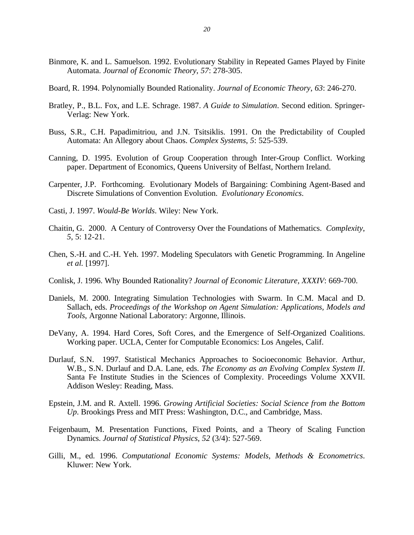- Binmore, K. and L. Samuelson. 1992. Evolutionary Stability in Repeated Games Played by Finite Automata. *Journal of Economic Theory*, *57*: 278-305.
- Board, R. 1994. Polynomially Bounded Rationality. *Journal of Economic Theory*, *63*: 246-270.
- Bratley, P., B.L. Fox, and L.E. Schrage. 1987. *A Guide to Simulation*. Second edition. Springer-Verlag: New York.
- Buss, S.R., C.H. Papadimitriou, and J.N. Tsitsiklis. 1991. On the Predictability of Coupled Automata: An Allegory about Chaos. *Complex Systems*, *5*: 525-539.
- Canning, D. 1995. Evolution of Group Cooperation through Inter-Group Conflict. Working paper. Department of Economics, Queens University of Belfast, Northern Ireland.
- Carpenter, J.P. Forthcoming. Evolutionary Models of Bargaining: Combining Agent-Based and Discrete Simulations of Convention Evolution. *Evolutionary Economics*.
- Casti, J. 1997. *Would-Be Worlds*. Wiley: New York.
- Chaitin, G. 2000. A Century of Controversy Over the Foundations of Mathematics. *Complexity*, *5*, 5: 12-21.
- Chen, S.-H. and C.-H. Yeh. 1997. Modeling Speculators with Genetic Programming. In Angeline *et al.* [1997].
- Conlisk, J. 1996. Why Bounded Rationality? *Journal of Economic Literature, XXXIV*: 669-700.
- Daniels, M. 2000. Integrating Simulation Technologies with Swarm. In C.M. Macal and D. Sallach, eds. *Proceedings of the Workshop on Agent Simulation: Applications, Models and Tools*, Argonne National Laboratory: Argonne, Illinois.
- DeVany, A. 1994. Hard Cores, Soft Cores, and the Emergence of Self-Organized Coalitions. Working paper. UCLA, Center for Computable Economics: Los Angeles, Calif.
- Durlauf, S.N. 1997. Statistical Mechanics Approaches to Socioeconomic Behavior. Arthur, W.B., S.N. Durlauf and D.A. Lane, eds. *The Economy as an Evolving Complex System II*. Santa Fe Institute Studies in the Sciences of Complexity. Proceedings Volume XXVII. Addison Wesley: Reading, Mass.
- Epstein, J.M. and R. Axtell. 1996. *Growing Artificial Societies: Social Science from the Bottom Up*. Brookings Press and MIT Press: Washington, D.C., and Cambridge, Mass.
- Feigenbaum, M. Presentation Functions, Fixed Points, and a Theory of Scaling Function Dynamics. *Journal of Statistical Physics*, *52* (3/4): 527-569.
- Gilli, M., ed. 1996. *Computational Economic Systems: Models, Methods & Econometrics*. Kluwer: New York.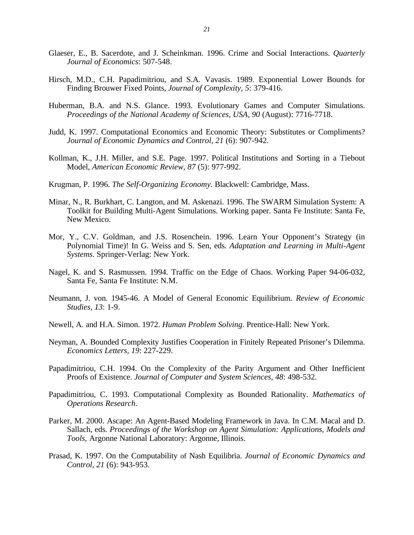- Glaeser, E., B. Sacerdote, and J. Scheinkman. 1996. Crime and Social Interactions. *Quarterly Journal of Economics*: 507-548.
- Hirsch, M.D., C.H. Papadimitriou, and S.A. Vavasis. 1989. Exponential Lower Bounds for Finding Brouwer Fixed Points, *Journal of Complexity, 5*: 379-416.
- Huberman, B.A. and N.S. Glance. 1993. Evolutionary Games and Computer Simulations. *Proceedings of the National Academy of Sciences, USA, 90* (August): 7716-7718.
- Judd, K. 1997. Computational Economics and Economic Theory: Substitutes or Compliments? *Journal of Economic Dynamics and Control, 21* (6): 907-942.
- Kollman, K., J.H. Miller, and S.E. Page. 1997. Political Institutions and Sorting in a Tiebout Model, *American Economic Review*, *87* (5): 977-992.
- Krugman, P. 1996. *The Self-Organizing Economy.* Blackwell: Cambridge, Mass.
- Minar, N., R. Burkhart, C. Langton, and M. Askenazi. 1996. The SWARM Simulation System: A Toolkit for Building Multi-Agent Simulations. Working paper. Santa Fe Institute: Santa Fe, New Mexico.
- Mor, Y., C.V. Goldman, and J.S. Rosenchein. 1996. Learn Your Opponent's Strategy (in Polynomial Time)! In G. Weiss and S. Sen, eds. *Adaptation and Learning in Multi-Agent Systems*. Springer-Verlag: New York.
- Nagel, K. and S. Rasmussen. 1994. Traffic on the Edge of Chaos. Working Paper 94-06-032, Santa Fe, Santa Fe Institute: N.M.
- Neumann, J. von. 1945-46. A Model of General Economic Equilibrium. *Review of Economic Studies, 13*: 1-9.
- Newell, A. and H.A. Simon. 1972. *Human Problem Solving*. Prentice-Hall: New York.
- Neyman, A. Bounded Complexity Justifies Cooperation in Finitely Repeated Prisoner's Dilemma. *Economics Letters, 19*: 227-229.
- Papadimitriou, C.H. 1994. On the Complexity of the Parity Argument and Other Inefficient Proofs of Existence. *Journal of Computer and System Sciences*, *48*: 498-532.
- Papadimitriou, C. 1993. Computational Complexity as Bounded Rationality. *Mathematics of Operations Research*.
- Parker, M. 2000. Ascape: An Agent-Based Modeling Framework in Java. In C.M. Macal and D. Sallach, eds. *Proceedings of the Workshop on Agent Simulation: Applications, Models and Tools*, Argonne National Laboratory: Argonne, Illinois.
- Prasad, K. 1997. On the Computability of Nash Equilibria. *Journal of Economic Dynamics and Control, 21* (6): 943-953.